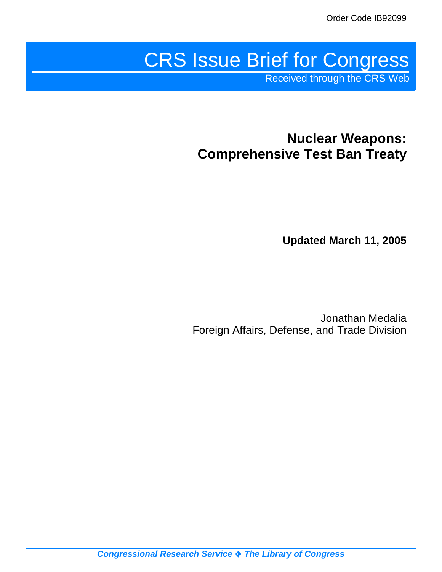# CRS Issue Brief for Congress

Received through the CRS Web

# **Nuclear Weapons: Comprehensive Test Ban Treaty**

**Updated March 11, 2005**

Jonathan Medalia Foreign Affairs, Defense, and Trade Division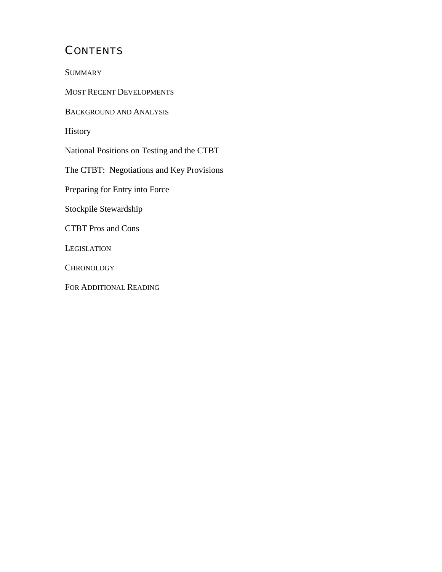# **CONTENTS**

**SUMMARY** 

MOST RECENT DEVELOPMENTS

BACKGROUND AND ANALYSIS

History

National Positions on Testing and the CTBT

The CTBT: Negotiations and Key Provisions

Preparing for Entry into Force

Stockpile Stewardship

CTBT Pros and Cons

**LEGISLATION** 

**CHRONOLOGY** 

FOR ADDITIONAL READING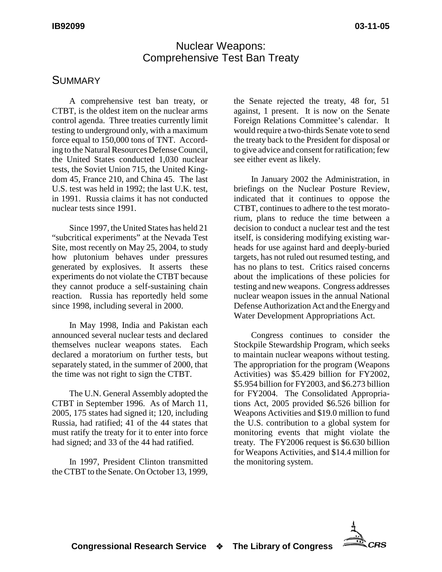#### Nuclear Weapons: Comprehensive Test Ban Treaty

#### SUMMARY

A comprehensive test ban treaty, or CTBT, is the oldest item on the nuclear arms control agenda. Three treaties currently limit testing to underground only, with a maximum force equal to 150,000 tons of TNT. According to the Natural Resources Defense Council, the United States conducted 1,030 nuclear tests, the Soviet Union 715, the United Kingdom 45, France 210, and China 45. The last U.S. test was held in 1992; the last U.K. test, in 1991. Russia claims it has not conducted nuclear tests since 1991.

Since 1997, the United States has held 21 "subcritical experiments" at the Nevada Test Site, most recently on May 25, 2004, to study how plutonium behaves under pressures generated by explosives. It asserts these experiments do not violate the CTBT because they cannot produce a self-sustaining chain reaction. Russia has reportedly held some since 1998, including several in 2000.

In May 1998, India and Pakistan each announced several nuclear tests and declared themselves nuclear weapons states. Each declared a moratorium on further tests, but separately stated, in the summer of 2000, that the time was not right to sign the CTBT.

The U.N. General Assembly adopted the CTBT in September 1996. As of March 11, 2005, 175 states had signed it; 120, including Russia, had ratified; 41 of the 44 states that must ratify the treaty for it to enter into force had signed; and 33 of the 44 had ratified.

In 1997, President Clinton transmitted the CTBT to the Senate. On October 13, 1999,

the Senate rejected the treaty, 48 for, 51 against, 1 present. It is now on the Senate Foreign Relations Committee's calendar. It would require a two-thirds Senate vote to send the treaty back to the President for disposal or to give advice and consent for ratification; few see either event as likely.

In January 2002 the Administration, in briefings on the Nuclear Posture Review, indicated that it continues to oppose the CTBT, continues to adhere to the test moratorium, plans to reduce the time between a decision to conduct a nuclear test and the test itself, is considering modifying existing warheads for use against hard and deeply-buried targets, has not ruled out resumed testing, and has no plans to test. Critics raised concerns about the implications of these policies for testing and new weapons. Congress addresses nuclear weapon issues in the annual National Defense Authorization Act and the Energy and Water Development Appropriations Act.

Congress continues to consider the Stockpile Stewardship Program, which seeks to maintain nuclear weapons without testing. The appropriation for the program (Weapons Activities) was \$5.429 billion for FY2002, \$5.954 billion for FY2003, and \$6.273 billion for FY2004. The Consolidated Appropriations Act, 2005 provided \$6.526 billion for Weapons Activities and \$19.0 million to fund the U.S. contribution to a global system for monitoring events that might violate the treaty. The FY2006 request is \$6.630 billion for Weapons Activities, and \$14.4 million for the monitoring system.

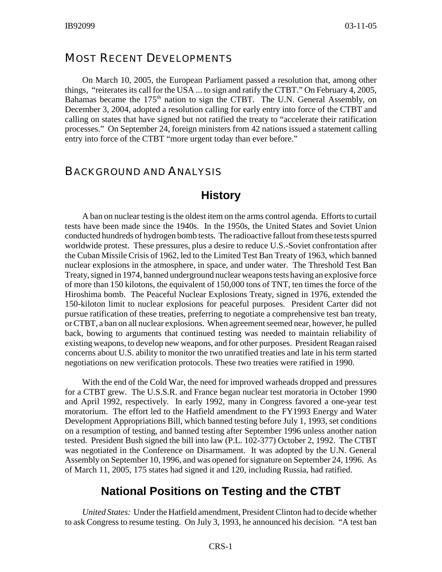#### MOST RECENT DEVELOPMENTS

On March 10, 2005, the European Parliament passed a resolution that, among other things, "reiterates its call for the USA ... to sign and ratify the CTBT." On February 4, 2005, Bahamas became the  $175<sup>th</sup>$  nation to sign the CTBT. The U.N. General Assembly, on December 3, 2004, adopted a resolution calling for early entry into force of the CTBT and calling on states that have signed but not ratified the treaty to "accelerate their ratification processes." On September 24, foreign ministers from 42 nations issued a statement calling entry into force of the CTBT "more urgent today than ever before."

#### BACKGROUND AND ANALYSIS

#### **History**

A ban on nuclear testing is the oldest item on the arms control agenda. Efforts to curtail tests have been made since the 1940s. In the 1950s, the United States and Soviet Union conducted hundreds of hydrogen bomb tests. The radioactive fallout from these tests spurred worldwide protest. These pressures, plus a desire to reduce U.S.-Soviet confrontation after the Cuban Missile Crisis of 1962, led to the Limited Test Ban Treaty of 1963, which banned nuclear explosions in the atmosphere, in space, and under water. The Threshold Test Ban Treaty, signed in 1974, banned underground nuclear weapons tests having an explosive force of more than 150 kilotons, the equivalent of 150,000 tons of TNT, ten times the force of the Hiroshima bomb. The Peaceful Nuclear Explosions Treaty, signed in 1976, extended the 150-kiloton limit to nuclear explosions for peaceful purposes. President Carter did not pursue ratification of these treaties, preferring to negotiate a comprehensive test ban treaty, or CTBT, a ban on all nuclear explosions. When agreement seemed near, however, he pulled back, bowing to arguments that continued testing was needed to maintain reliability of existing weapons, to develop new weapons, and for other purposes. President Reagan raised concerns about U.S. ability to monitor the two unratified treaties and late in his term started negotiations on new verification protocols. These two treaties were ratified in 1990.

With the end of the Cold War, the need for improved warheads dropped and pressures for a CTBT grew. The U.S.S.R. and France began nuclear test moratoria in October 1990 and April 1992, respectively. In early 1992, many in Congress favored a one-year test moratorium. The effort led to the Hatfield amendment to the FY1993 Energy and Water Development Appropriations Bill, which banned testing before July 1, 1993, set conditions on a resumption of testing, and banned testing after September 1996 unless another nation tested. President Bush signed the bill into law (P.L. 102-377) October 2, 1992. The CTBT was negotiated in the Conference on Disarmament. It was adopted by the U.N. General Assembly on September 10, 1996, and was opened for signature on September 24, 1996. As of March 11, 2005, 175 states had signed it and 120, including Russia, had ratified.

#### **National Positions on Testing and the CTBT**

*United States:* Under the Hatfield amendment, President Clinton had to decide whether to ask Congress to resume testing. On July 3, 1993, he announced his decision. "A test ban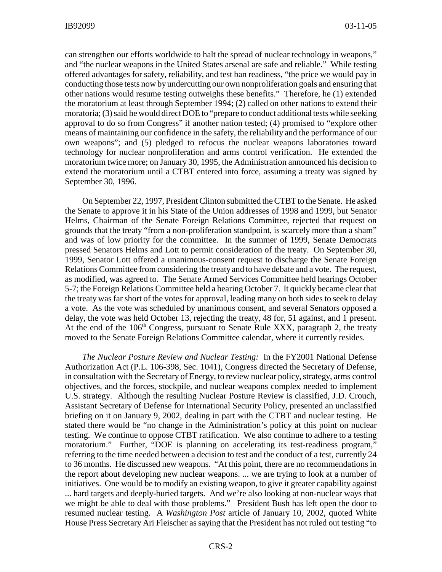can strengthen our efforts worldwide to halt the spread of nuclear technology in weapons," and "the nuclear weapons in the United States arsenal are safe and reliable." While testing offered advantages for safety, reliability, and test ban readiness, "the price we would pay in conducting those tests now by undercutting our own nonproliferation goals and ensuring that other nations would resume testing outweighs these benefits." Therefore, he (1) extended the moratorium at least through September 1994; (2) called on other nations to extend their moratoria; (3) said he would direct DOE to "prepare to conduct additional tests while seeking approval to do so from Congress" if another nation tested; (4) promised to "explore other means of maintaining our confidence in the safety, the reliability and the performance of our own weapons"; and (5) pledged to refocus the nuclear weapons laboratories toward technology for nuclear nonproliferation and arms control verification. He extended the moratorium twice more; on January 30, 1995, the Administration announced his decision to extend the moratorium until a CTBT entered into force, assuming a treaty was signed by September 30, 1996.

On September 22, 1997, President Clinton submitted the CTBT to the Senate. He asked the Senate to approve it in his State of the Union addresses of 1998 and 1999, but Senator Helms, Chairman of the Senate Foreign Relations Committee, rejected that request on grounds that the treaty "from a non-proliferation standpoint, is scarcely more than a sham" and was of low priority for the committee. In the summer of 1999, Senate Democrats pressed Senators Helms and Lott to permit consideration of the treaty. On September 30, 1999, Senator Lott offered a unanimous-consent request to discharge the Senate Foreign Relations Committee from considering the treaty and to have debate and a vote. The request, as modified, was agreed to. The Senate Armed Services Committee held hearings October 5-7; the Foreign Relations Committee held a hearing October 7. It quickly became clear that the treaty was far short of the votes for approval, leading many on both sides to seek to delay a vote. As the vote was scheduled by unanimous consent, and several Senators opposed a delay, the vote was held October 13, rejecting the treaty, 48 for, 51 against, and 1 present. At the end of the  $106<sup>th</sup>$  Congress, pursuant to Senate Rule XXX, paragraph 2, the treaty moved to the Senate Foreign Relations Committee calendar, where it currently resides.

*The Nuclear Posture Review and Nuclear Testing:* In the FY2001 National Defense Authorization Act (P.L. 106-398, Sec. 1041), Congress directed the Secretary of Defense, in consultation with the Secretary of Energy, to review nuclear policy, strategy, arms control objectives, and the forces, stockpile, and nuclear weapons complex needed to implement U.S. strategy. Although the resulting Nuclear Posture Review is classified, J.D. Crouch, Assistant Secretary of Defense for International Security Policy, presented an unclassified briefing on it on January 9, 2002, dealing in part with the CTBT and nuclear testing. He stated there would be "no change in the Administration's policy at this point on nuclear testing. We continue to oppose CTBT ratification. We also continue to adhere to a testing moratorium." Further, "DOE is planning on accelerating its test-readiness program," referring to the time needed between a decision to test and the conduct of a test, currently 24 to 36 months. He discussed new weapons. "At this point, there are no recommendations in the report about developing new nuclear weapons. ... we are trying to look at a number of initiatives. One would be to modify an existing weapon, to give it greater capability against ... hard targets and deeply-buried targets. And we're also looking at non-nuclear ways that we might be able to deal with those problems." President Bush has left open the door to resumed nuclear testing. A *Washington Post* article of January 10, 2002, quoted White House Press Secretary Ari Fleischer as saying that the President has not ruled out testing "to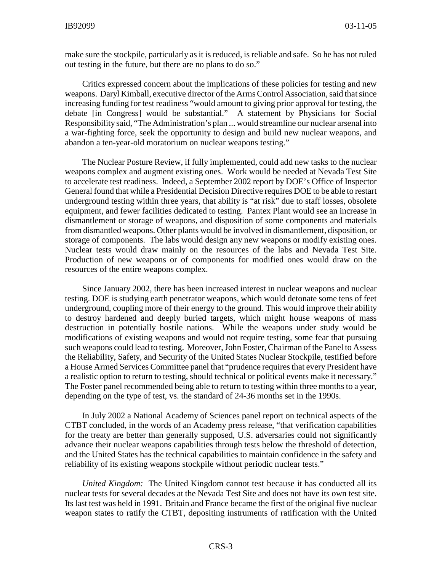make sure the stockpile, particularly as it is reduced, is reliable and safe. So he has not ruled out testing in the future, but there are no plans to do so."

Critics expressed concern about the implications of these policies for testing and new weapons. Daryl Kimball, executive director of the Arms Control Association, said that since increasing funding for test readiness "would amount to giving prior approval for testing, the debate [in Congress] would be substantial." A statement by Physicians for Social Responsibility said, "The Administration's plan ... would streamline our nuclear arsenal into a war-fighting force, seek the opportunity to design and build new nuclear weapons, and abandon a ten-year-old moratorium on nuclear weapons testing."

The Nuclear Posture Review, if fully implemented, could add new tasks to the nuclear weapons complex and augment existing ones. Work would be needed at Nevada Test Site to accelerate test readiness. Indeed, a September 2002 report by DOE's Office of Inspector General found that while a Presidential Decision Directive requires DOE to be able to restart underground testing within three years, that ability is "at risk" due to staff losses, obsolete equipment, and fewer facilities dedicated to testing. Pantex Plant would see an increase in dismantlement or storage of weapons, and disposition of some components and materials from dismantled weapons. Other plants would be involved in dismantlement, disposition, or storage of components. The labs would design any new weapons or modify existing ones. Nuclear tests would draw mainly on the resources of the labs and Nevada Test Site. Production of new weapons or of components for modified ones would draw on the resources of the entire weapons complex.

Since January 2002, there has been increased interest in nuclear weapons and nuclear testing. DOE is studying earth penetrator weapons, which would detonate some tens of feet underground, coupling more of their energy to the ground. This would improve their ability to destroy hardened and deeply buried targets, which might house weapons of mass destruction in potentially hostile nations. While the weapons under study would be modifications of existing weapons and would not require testing, some fear that pursuing such weapons could lead to testing. Moreover, John Foster, Chairman of the Panel to Assess the Reliability, Safety, and Security of the United States Nuclear Stockpile, testified before a House Armed Services Committee panel that "prudence requires that every President have a realistic option to return to testing, should technical or political events make it necessary." The Foster panel recommended being able to return to testing within three months to a year, depending on the type of test, vs. the standard of 24-36 months set in the 1990s.

In July 2002 a National Academy of Sciences panel report on technical aspects of the CTBT concluded, in the words of an Academy press release, "that verification capabilities for the treaty are better than generally supposed, U.S. adversaries could not significantly advance their nuclear weapons capabilities through tests below the threshold of detection, and the United States has the technical capabilities to maintain confidence in the safety and reliability of its existing weapons stockpile without periodic nuclear tests."

*United Kingdom:* The United Kingdom cannot test because it has conducted all its nuclear tests for several decades at the Nevada Test Site and does not have its own test site. Its last test was held in 1991. Britain and France became the first of the original five nuclear weapon states to ratify the CTBT, depositing instruments of ratification with the United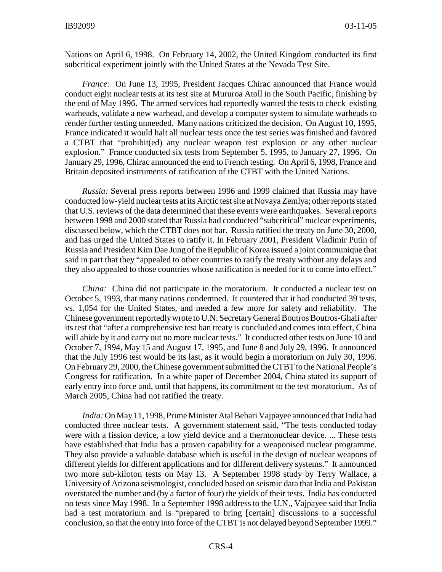Nations on April 6, 1998. On February 14, 2002, the United Kingdom conducted its first subcritical experiment jointly with the United States at the Nevada Test Site.

*France:* On June 13, 1995, President Jacques Chirac announced that France would conduct eight nuclear tests at its test site at Mururoa Atoll in the South Pacific, finishing by the end of May 1996. The armed services had reportedly wanted the tests to check existing warheads, validate a new warhead, and develop a computer system to simulate warheads to render further testing unneeded. Many nations criticized the decision. On August 10, 1995, France indicated it would halt all nuclear tests once the test series was finished and favored a CTBT that "prohibit(ed) any nuclear weapon test explosion or any other nuclear explosion." France conducted six tests from September 5, 1995, to January 27, 1996. On January 29, 1996, Chirac announced the end to French testing. On April 6, 1998, France and Britain deposited instruments of ratification of the CTBT with the United Nations.

*Russia:* Several press reports between 1996 and 1999 claimed that Russia may have conducted low-yield nuclear tests at its Arctic test site at Novaya Zemlya; other reports stated that U.S. reviews of the data determined that these events were earthquakes. Several reports between 1998 and 2000 stated that Russia had conducted "subcritical" nuclear experiments, discussed below, which the CTBT does not bar. Russia ratified the treaty on June 30, 2000, and has urged the United States to ratify it. In February 2001, President Vladimir Putin of Russia and President Kim Dae Jung of the Republic of Korea issued a joint communique that said in part that they "appealed to other countries to ratify the treaty without any delays and they also appealed to those countries whose ratification is needed for it to come into effect."

*China:* China did not participate in the moratorium. It conducted a nuclear test on October 5, 1993, that many nations condemned. It countered that it had conducted 39 tests, vs. 1,054 for the United States, and needed a few more for safety and reliability. The Chinese government reportedly wrote to U.N. Secretary General Boutros Boutros-Ghali after its test that "after a comprehensive test ban treaty is concluded and comes into effect, China will abide by it and carry out no more nuclear tests." It conducted other tests on June 10 and October 7, 1994, May 15 and August 17, 1995, and June 8 and July 29, 1996. It announced that the July 1996 test would be its last, as it would begin a moratorium on July 30, 1996. On February 29, 2000, the Chinese government submitted the CTBT to the National People's Congress for ratification. In a white paper of December 2004, China stated its support of early entry into force and, until that happens, its commitment to the test moratorium. As of March 2005, China had not ratified the treaty.

*India:* On May 11, 1998, Prime Minister Atal Behari Vajpayee announced that India had conducted three nuclear tests. A government statement said, "The tests conducted today were with a fission device, a low yield device and a thermonuclear device. ... These tests have established that India has a proven capability for a weaponised nuclear programme. They also provide a valuable database which is useful in the design of nuclear weapons of different yields for different applications and for different delivery systems." It announced two more sub-kiloton tests on May 13. A September 1998 study by Terry Wallace, a University of Arizona seismologist, concluded based on seismic data that India and Pakistan overstated the number and (by a factor of four) the yields of their tests. India has conducted no tests since May 1998. In a September 1998 address to the U.N., Vajpayee said that India had a test moratorium and is "prepared to bring [certain] discussions to a successful conclusion, so that the entry into force of the CTBT is not delayed beyond September 1999."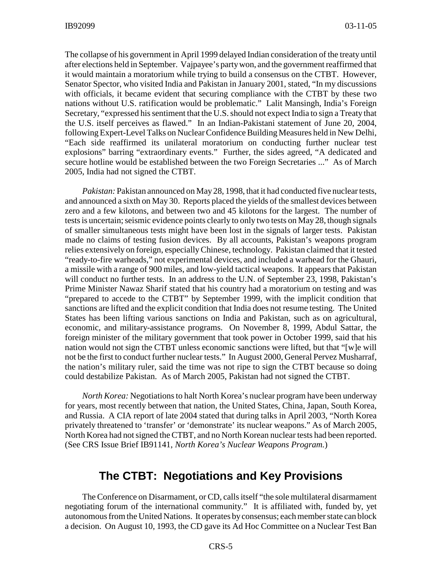The collapse of his government in April 1999 delayed Indian consideration of the treaty until after elections held in September. Vajpayee's party won, and the government reaffirmed that it would maintain a moratorium while trying to build a consensus on the CTBT. However, Senator Spector, who visited India and Pakistan in January 2001, stated, "In my discussions with officials, it became evident that securing compliance with the CTBT by these two nations without U.S. ratification would be problematic." Lalit Mansingh, India's Foreign Secretary, "expressed his sentiment that the U.S. should not expect India to sign a Treaty that the U.S. itself perceives as flawed." In an Indian-Pakistani statement of June 20, 2004, following Expert-Level Talks on Nuclear Confidence Building Measures held in New Delhi, "Each side reaffirmed its unilateral moratorium on conducting further nuclear test explosions" barring "extraordinary events." Further, the sides agreed, "A dedicated and secure hotline would be established between the two Foreign Secretaries ..." As of March 2005, India had not signed the CTBT.

*Pakistan:* Pakistan announced on May 28, 1998, that it had conducted five nuclear tests, and announced a sixth on May 30. Reports placed the yields of the smallest devices between zero and a few kilotons, and between two and 45 kilotons for the largest. The number of tests is uncertain; seismic evidence points clearly to only two tests on May 28, though signals of smaller simultaneous tests might have been lost in the signals of larger tests. Pakistan made no claims of testing fusion devices. By all accounts, Pakistan's weapons program relies extensively on foreign, especially Chinese, technology. Pakistan claimed that it tested "ready-to-fire warheads," not experimental devices, and included a warhead for the Ghauri, a missile with a range of 900 miles, and low-yield tactical weapons. It appears that Pakistan will conduct no further tests. In an address to the U.N. of September 23, 1998, Pakistan's Prime Minister Nawaz Sharif stated that his country had a moratorium on testing and was "prepared to accede to the CTBT" by September 1999, with the implicit condition that sanctions are lifted and the explicit condition that India does not resume testing. The United States has been lifting various sanctions on India and Pakistan, such as on agricultural, economic, and military-assistance programs. On November 8, 1999, Abdul Sattar, the foreign minister of the military government that took power in October 1999, said that his nation would not sign the CTBT unless economic sanctions were lifted, but that "[w]e will not be the first to conduct further nuclear tests." In August 2000, General Pervez Musharraf, the nation's military ruler, said the time was not ripe to sign the CTBT because so doing could destabilize Pakistan. As of March 2005, Pakistan had not signed the CTBT.

*North Korea:* Negotiations to halt North Korea's nuclear program have been underway for years, most recently between that nation, the United States, China, Japan, South Korea, and Russia. A CIA report of late 2004 stated that during talks in April 2003, "North Korea privately threatened to 'transfer' or 'demonstrate' its nuclear weapons." As of March 2005, North Korea had not signed the CTBT, and no North Korean nuclear tests had been reported. (See CRS Issue Brief IB91141, *North Korea's Nuclear Weapons Program.*)

#### **The CTBT: Negotiations and Key Provisions**

The Conference on Disarmament, or CD, calls itself "the sole multilateral disarmament negotiating forum of the international community." It is affiliated with, funded by, yet autonomous from the United Nations. It operates by consensus; each member state can block a decision. On August 10, 1993, the CD gave its Ad Hoc Committee on a Nuclear Test Ban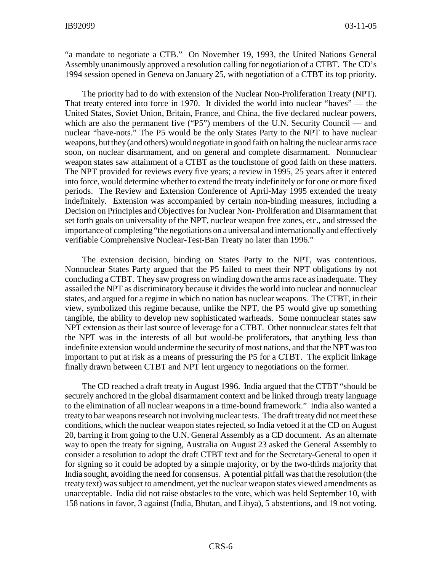"a mandate to negotiate a CTB." On November 19, 1993, the United Nations General Assembly unanimously approved a resolution calling for negotiation of a CTBT. The CD's 1994 session opened in Geneva on January 25, with negotiation of a CTBT its top priority.

The priority had to do with extension of the Nuclear Non-Proliferation Treaty (NPT). That treaty entered into force in 1970. It divided the world into nuclear "haves" — the United States, Soviet Union, Britain, France, and China, the five declared nuclear powers, which are also the permanent five ("P5") members of the U.N. Security Council — and nuclear "have-nots." The P5 would be the only States Party to the NPT to have nuclear weapons, but they (and others) would negotiate in good faith on halting the nuclear arms race soon, on nuclear disarmament, and on general and complete disarmament. Nonnuclear weapon states saw attainment of a CTBT as the touchstone of good faith on these matters. The NPT provided for reviews every five years; a review in 1995, 25 years after it entered into force, would determine whether to extend the treaty indefinitely or for one or more fixed periods. The Review and Extension Conference of April-May 1995 extended the treaty indefinitely. Extension was accompanied by certain non-binding measures, including a Decision on Principles and Objectives for Nuclear Non- Proliferation and Disarmament that set forth goals on universality of the NPT, nuclear weapon free zones, etc., and stressed the importance of completing "the negotiations on a universal and internationally and effectively verifiable Comprehensive Nuclear-Test-Ban Treaty no later than 1996."

The extension decision, binding on States Party to the NPT, was contentious. Nonnuclear States Party argued that the P5 failed to meet their NPT obligations by not concluding a CTBT. They saw progress on winding down the arms race as inadequate. They assailed the NPT as discriminatory because it divides the world into nuclear and nonnuclear states, and argued for a regime in which no nation has nuclear weapons. The CTBT, in their view, symbolized this regime because, unlike the NPT, the P5 would give up something tangible, the ability to develop new sophisticated warheads. Some nonnuclear states saw NPT extension as their last source of leverage for a CTBT. Other nonnuclear states felt that the NPT was in the interests of all but would-be proliferators, that anything less than indefinite extension would undermine the security of most nations, and that the NPT was too important to put at risk as a means of pressuring the P5 for a CTBT. The explicit linkage finally drawn between CTBT and NPT lent urgency to negotiations on the former.

The CD reached a draft treaty in August 1996. India argued that the CTBT "should be securely anchored in the global disarmament context and be linked through treaty language to the elimination of all nuclear weapons in a time-bound framework." India also wanted a treaty to bar weapons research not involving nuclear tests. The draft treaty did not meet these conditions, which the nuclear weapon states rejected, so India vetoed it at the CD on August 20, barring it from going to the U.N. General Assembly as a CD document. As an alternate way to open the treaty for signing, Australia on August 23 asked the General Assembly to consider a resolution to adopt the draft CTBT text and for the Secretary-General to open it for signing so it could be adopted by a simple majority, or by the two-thirds majority that India sought, avoiding the need for consensus. A potential pitfall was that the resolution (the treaty text) was subject to amendment, yet the nuclear weapon states viewed amendments as unacceptable. India did not raise obstacles to the vote, which was held September 10, with 158 nations in favor, 3 against (India, Bhutan, and Libya), 5 abstentions, and 19 not voting.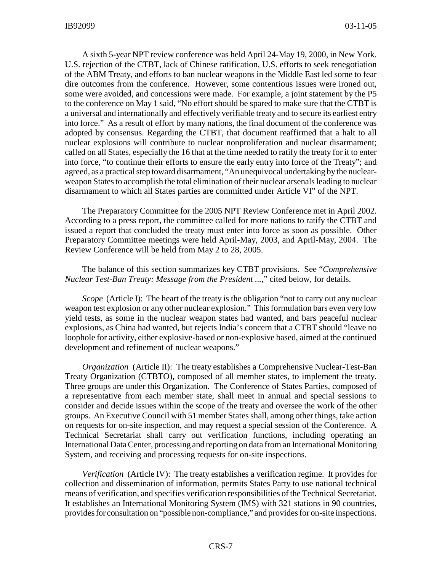A sixth 5-year NPT review conference was held April 24-May 19, 2000, in New York. U.S. rejection of the CTBT, lack of Chinese ratification, U.S. efforts to seek renegotiation of the ABM Treaty, and efforts to ban nuclear weapons in the Middle East led some to fear dire outcomes from the conference. However, some contentious issues were ironed out, some were avoided, and concessions were made. For example, a joint statement by the P5 to the conference on May 1 said, "No effort should be spared to make sure that the CTBT is a universal and internationally and effectively verifiable treaty and to secure its earliest entry into force." As a result of effort by many nations, the final document of the conference was adopted by consensus. Regarding the CTBT, that document reaffirmed that a halt to all nuclear explosions will contribute to nuclear nonproliferation and nuclear disarmament; called on all States, especially the 16 that at the time needed to ratify the treaty for it to enter into force, "to continue their efforts to ensure the early entry into force of the Treaty"; and agreed, as a practical step toward disarmament, "An unequivocal undertaking by the nuclearweapon States to accomplish the total elimination of their nuclear arsenals leading to nuclear disarmament to which all States parties are committed under Article VI" of the NPT.

The Preparatory Committee for the 2005 NPT Review Conference met in April 2002. According to a press report, the committee called for more nations to ratify the CTBT and issued a report that concluded the treaty must enter into force as soon as possible. Other Preparatory Committee meetings were held April-May, 2003, and April-May, 2004. The Review Conference will be held from May 2 to 28, 2005.

The balance of this section summarizes key CTBT provisions. See "*Comprehensive Nuclear Test-Ban Treaty: Message from the President ...,*" cited below, for details.

*Scope* (Article I): The heart of the treaty is the obligation "not to carry out any nuclear weapon test explosion or any other nuclear explosion." This formulation bars even very low yield tests, as some in the nuclear weapon states had wanted, and bars peaceful nuclear explosions, as China had wanted, but rejects India's concern that a CTBT should "leave no loophole for activity, either explosive-based or non-explosive based, aimed at the continued development and refinement of nuclear weapons."

*Organization* (Article II): The treaty establishes a Comprehensive Nuclear-Test-Ban Treaty Organization (CTBTO), composed of all member states, to implement the treaty. Three groups are under this Organization. The Conference of States Parties, composed of a representative from each member state, shall meet in annual and special sessions to consider and decide issues within the scope of the treaty and oversee the work of the other groups. An Executive Council with 51 member States shall, among other things, take action on requests for on-site inspection, and may request a special session of the Conference. A Technical Secretariat shall carry out verification functions, including operating an International Data Center, processing and reporting on data from an International Monitoring System, and receiving and processing requests for on-site inspections.

*Verification* (Article IV): The treaty establishes a verification regime. It provides for collection and dissemination of information, permits States Party to use national technical means of verification, and specifies verification responsibilities of the Technical Secretariat. It establishes an International Monitoring System (IMS) with 321 stations in 90 countries, provides for consultation on "possible non-compliance," and provides for on-site inspections.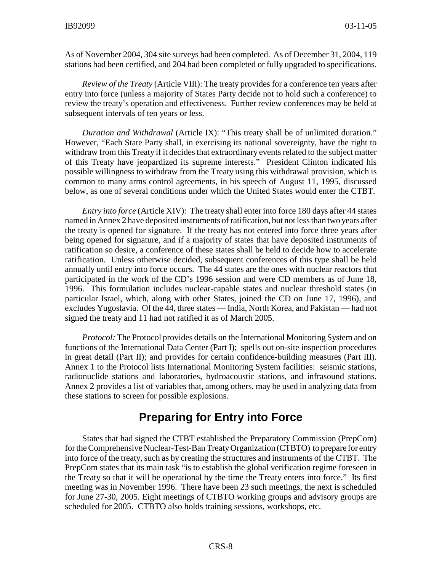As of November 2004, 304 site surveys had been completed. As of December 31, 2004, 119 stations had been certified, and 204 had been completed or fully upgraded to specifications.

*Review of the Treaty* (Article VIII): The treaty provides for a conference ten years after entry into force (unless a majority of States Party decide not to hold such a conference) to review the treaty's operation and effectiveness. Further review conferences may be held at subsequent intervals of ten years or less.

*Duration and Withdrawal* (Article IX): "This treaty shall be of unlimited duration." However, "Each State Party shall, in exercising its national sovereignty, have the right to withdraw from this Treaty if it decides that extraordinary events related to the subject matter of this Treaty have jeopardized its supreme interests." President Clinton indicated his possible willingness to withdraw from the Treaty using this withdrawal provision, which is common to many arms control agreements, in his speech of August 11, 1995, discussed below, as one of several conditions under which the United States would enter the CTBT.

*Entry into force* (Article XIV): The treaty shall enter into force 180 days after 44 states named in Annex 2 have deposited instruments of ratification, but not less than two years after the treaty is opened for signature. If the treaty has not entered into force three years after being opened for signature, and if a majority of states that have deposited instruments of ratification so desire, a conference of these states shall be held to decide how to accelerate ratification. Unless otherwise decided, subsequent conferences of this type shall be held annually until entry into force occurs. The 44 states are the ones with nuclear reactors that participated in the work of the CD's 1996 session and were CD members as of June 18, 1996. This formulation includes nuclear-capable states and nuclear threshold states (in particular Israel, which, along with other States, joined the CD on June 17, 1996), and excludes Yugoslavia. Of the 44, three states — India, North Korea, and Pakistan — had not signed the treaty and 11 had not ratified it as of March 2005.

*Protocol:* The Protocol provides details on the International Monitoring System and on functions of the International Data Center (Part I); spells out on-site inspection procedures in great detail (Part II); and provides for certain confidence-building measures (Part III). Annex 1 to the Protocol lists International Monitoring System facilities: seismic stations, radionuclide stations and laboratories, hydroacoustic stations, and infrasound stations. Annex 2 provides a list of variables that, among others, may be used in analyzing data from these stations to screen for possible explosions.

## **Preparing for Entry into Force**

States that had signed the CTBT established the Preparatory Commission (PrepCom) for the Comprehensive Nuclear-Test-Ban Treaty Organization (CTBTO) to prepare for entry into force of the treaty, such as by creating the structures and instruments of the CTBT. The PrepCom states that its main task "is to establish the global verification regime foreseen in the Treaty so that it will be operational by the time the Treaty enters into force." Its first meeting was in November 1996. There have been 23 such meetings, the next is scheduled for June 27-30, 2005. Eight meetings of CTBTO working groups and advisory groups are scheduled for 2005. CTBTO also holds training sessions, workshops, etc.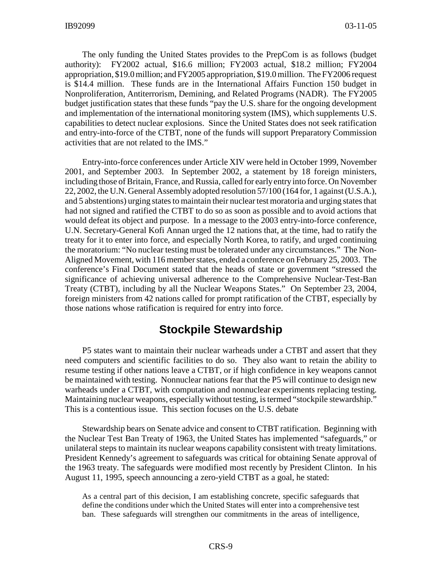The only funding the United States provides to the PrepCom is as follows (budget authority): FY2002 actual, \$16.6 million; FY2003 actual, \$18.2 million; FY2004 appropriation, \$19.0 million; and FY2005 appropriation, \$19.0 million. The FY2006 request is \$14.4 million. These funds are in the International Affairs Function 150 budget in Nonproliferation, Antiterrorism, Demining, and Related Programs (NADR). The FY2005 budget justification states that these funds "pay the U.S. share for the ongoing development and implementation of the international monitoring system (IMS), which supplements U.S. capabilities to detect nuclear explosions. Since the United States does not seek ratification and entry-into-force of the CTBT, none of the funds will support Preparatory Commission activities that are not related to the IMS."

Entry-into-force conferences under Article XIV were held in October 1999, November 2001, and September 2003. In September 2002, a statement by 18 foreign ministers, including those of Britain, France, and Russia, called for early entry into force. On November 22, 2002, the U.N. General Assembly adopted resolution 57/100 (164 for, 1 against (U.S.A.), and 5 abstentions) urging states to maintain their nuclear test moratoria and urging states that had not signed and ratified the CTBT to do so as soon as possible and to avoid actions that would defeat its object and purpose. In a message to the 2003 entry-into-force conference, U.N. Secretary-General Kofi Annan urged the 12 nations that, at the time, had to ratify the treaty for it to enter into force, and especially North Korea, to ratify, and urged continuing the moratorium: "No nuclear testing must be tolerated under any circumstances." The Non-Aligned Movement, with 116 member states, ended a conference on February 25, 2003. The conference's Final Document stated that the heads of state or government "stressed the significance of achieving universal adherence to the Comprehensive Nuclear-Test-Ban Treaty (CTBT), including by all the Nuclear Weapons States." On September 23, 2004, foreign ministers from 42 nations called for prompt ratification of the CTBT, especially by those nations whose ratification is required for entry into force.

## **Stockpile Stewardship**

P5 states want to maintain their nuclear warheads under a CTBT and assert that they need computers and scientific facilities to do so. They also want to retain the ability to resume testing if other nations leave a CTBT, or if high confidence in key weapons cannot be maintained with testing. Nonnuclear nations fear that the P5 will continue to design new warheads under a CTBT, with computation and nonnuclear experiments replacing testing. Maintaining nuclear weapons, especially without testing, is termed "stockpile stewardship." This is a contentious issue. This section focuses on the U.S. debate

Stewardship bears on Senate advice and consent to CTBT ratification. Beginning with the Nuclear Test Ban Treaty of 1963, the United States has implemented "safeguards," or unilateral steps to maintain its nuclear weapons capability consistent with treaty limitations. President Kennedy's agreement to safeguards was critical for obtaining Senate approval of the 1963 treaty. The safeguards were modified most recently by President Clinton. In his August 11, 1995, speech announcing a zero-yield CTBT as a goal, he stated:

As a central part of this decision, I am establishing concrete, specific safeguards that define the conditions under which the United States will enter into a comprehensive test ban. These safeguards will strengthen our commitments in the areas of intelligence,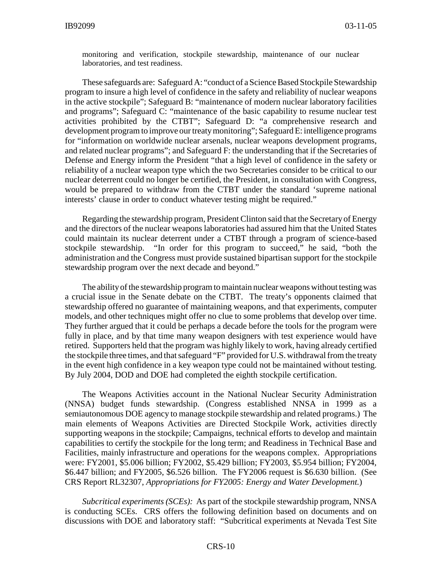monitoring and verification, stockpile stewardship, maintenance of our nuclear laboratories, and test readiness.

These safeguards are: Safeguard A: "conduct of a Science Based Stockpile Stewardship program to insure a high level of confidence in the safety and reliability of nuclear weapons in the active stockpile"; Safeguard B: "maintenance of modern nuclear laboratory facilities and programs"; Safeguard C: "maintenance of the basic capability to resume nuclear test activities prohibited by the CTBT"; Safeguard D: "a comprehensive research and development program to improve our treaty monitoring"; Safeguard E: intelligence programs for "information on worldwide nuclear arsenals, nuclear weapons development programs, and related nuclear programs"; and Safeguard F: the understanding that if the Secretaries of Defense and Energy inform the President "that a high level of confidence in the safety or reliability of a nuclear weapon type which the two Secretaries consider to be critical to our nuclear deterrent could no longer be certified, the President, in consultation with Congress, would be prepared to withdraw from the CTBT under the standard 'supreme national interests' clause in order to conduct whatever testing might be required."

Regarding the stewardship program, President Clinton said that the Secretary of Energy and the directors of the nuclear weapons laboratories had assured him that the United States could maintain its nuclear deterrent under a CTBT through a program of science-based stockpile stewardship. "In order for this program to succeed," he said, "both the administration and the Congress must provide sustained bipartisan support for the stockpile stewardship program over the next decade and beyond."

The ability of the stewardship program to maintain nuclear weapons without testing was a crucial issue in the Senate debate on the CTBT. The treaty's opponents claimed that stewardship offered no guarantee of maintaining weapons, and that experiments, computer models, and other techniques might offer no clue to some problems that develop over time. They further argued that it could be perhaps a decade before the tools for the program were fully in place, and by that time many weapon designers with test experience would have retired. Supporters held that the program was highly likely to work, having already certified the stockpile three times, and that safeguard "F" provided for U.S. withdrawal from the treaty in the event high confidence in a key weapon type could not be maintained without testing. By July 2004, DOD and DOE had completed the eighth stockpile certification.

The Weapons Activities account in the National Nuclear Security Administration (NNSA) budget funds stewardship. (Congress established NNSA in 1999 as a semiautonomous DOE agency to manage stockpile stewardship and related programs.) The main elements of Weapons Activities are Directed Stockpile Work, activities directly supporting weapons in the stockpile; Campaigns, technical efforts to develop and maintain capabilities to certify the stockpile for the long term; and Readiness in Technical Base and Facilities, mainly infrastructure and operations for the weapons complex. Appropriations were: FY2001, \$5.006 billion; FY2002, \$5.429 billion; FY2003, \$5.954 billion; FY2004, \$6.447 billion; and FY2005, \$6.526 billion. The FY2006 request is \$6.630 billion. (See CRS Report RL32307, *Appropriations for FY2005: Energy and Water Development.*)

*Subcritical experiments (SCEs):* As part of the stockpile stewardship program, NNSA is conducting SCEs. CRS offers the following definition based on documents and on discussions with DOE and laboratory staff: "Subcritical experiments at Nevada Test Site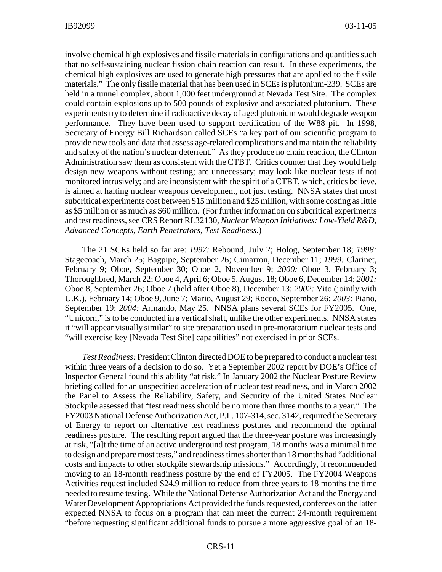involve chemical high explosives and fissile materials in configurations and quantities such that no self-sustaining nuclear fission chain reaction can result. In these experiments, the chemical high explosives are used to generate high pressures that are applied to the fissile materials." The only fissile material that has been used in SCEs is plutonium-239. SCEs are held in a tunnel complex, about 1,000 feet underground at Nevada Test Site. The complex could contain explosions up to 500 pounds of explosive and associated plutonium. These experiments try to determine if radioactive decay of aged plutonium would degrade weapon performance. They have been used to support certification of the W88 pit. In 1998, Secretary of Energy Bill Richardson called SCEs "a key part of our scientific program to provide new tools and data that assess age-related complications and maintain the reliability and safety of the nation's nuclear deterrent." As they produce no chain reaction, the Clinton Administration saw them as consistent with the CTBT. Critics counter that they would help design new weapons without testing; are unnecessary; may look like nuclear tests if not monitored intrusively; and are inconsistent with the spirit of a CTBT, which, critics believe, is aimed at halting nuclear weapons development, not just testing. NNSA states that most subcritical experiments cost between \$15 million and \$25 million, with some costing as little as \$5 million or as much as \$60 million. (For further information on subcritical experiments and test readiness, see CRS Report RL32130, *Nuclear Weapon Initiatives: Low-Yield R&D, Advanced Concepts, Earth Penetrators, Test Readiness.*)

The 21 SCEs held so far are: *1997:* Rebound, July 2; Holog, September 18; *1998:* Stagecoach, March 25; Bagpipe, September 26; Cimarron, December 11; *1999:* Clarinet, February 9; Oboe, September 30; Oboe 2, November 9; *2000:* Oboe 3, February 3; Thoroughbred, March 22; Oboe 4, April 6; Oboe 5, August 18; Oboe 6, December 14; *2001:* Oboe 8, September 26; Oboe 7 (held after Oboe 8), December 13; *2002:* Vito (jointly with U.K.), February 14; Oboe 9, June 7; Mario, August 29; Rocco, September 26; *2003:* Piano, September 19; *2004:* Armando, May 25. NNSA plans several SCEs for FY2005. One, "Unicorn," is to be conducted in a vertical shaft, unlike the other experiments. NNSA states it "will appear visually similar" to site preparation used in pre-moratorium nuclear tests and "will exercise key [Nevada Test Site] capabilities" not exercised in prior SCEs.

*Test Readiness:* President Clinton directed DOE to be prepared to conduct a nuclear test within three years of a decision to do so. Yet a September 2002 report by DOE's Office of Inspector General found this ability "at risk." In January 2002 the Nuclear Posture Review briefing called for an unspecified acceleration of nuclear test readiness, and in March 2002 the Panel to Assess the Reliability, Safety, and Security of the United States Nuclear Stockpile assessed that "test readiness should be no more than three months to a year." The FY2003 National Defense Authorization Act, P.L. 107-314, sec. 3142, required the Secretary of Energy to report on alternative test readiness postures and recommend the optimal readiness posture. The resulting report argued that the three-year posture was increasingly at risk, "[a]t the time of an active underground test program, 18 months was a minimal time to design and prepare most tests," and readiness times shorter than 18 months had "additional costs and impacts to other stockpile stewardship missions." Accordingly, it recommended moving to an 18-month readiness posture by the end of FY2005. The FY2004 Weapons Activities request included \$24.9 million to reduce from three years to 18 months the time needed to resume testing. While the National Defense Authorization Act and the Energy and Water Development Appropriations Act provided the funds requested, conferees on the latter expected NNSA to focus on a program that can meet the current 24-month requirement "before requesting significant additional funds to pursue a more aggressive goal of an 18-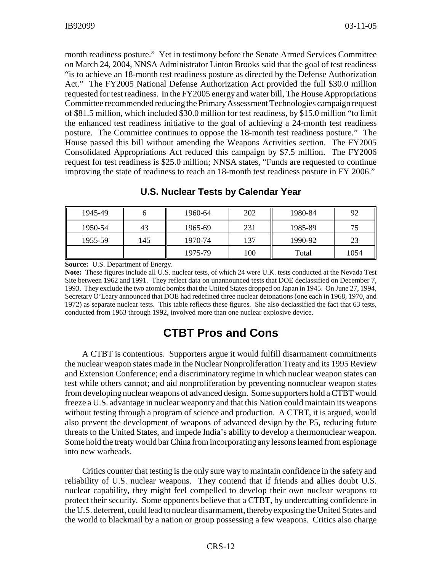month readiness posture." Yet in testimony before the Senate Armed Services Committee on March 24, 2004, NNSA Administrator Linton Brooks said that the goal of test readiness "is to achieve an 18-month test readiness posture as directed by the Defense Authorization Act." The FY2005 National Defense Authorization Act provided the full \$30.0 million requested for test readiness. In the FY2005 energy and water bill, The House Appropriations Committee recommended reducing the Primary Assessment Technologies campaign request of \$81.5 million, which included \$30.0 million for test readiness, by \$15.0 million "to limit the enhanced test readiness initiative to the goal of achieving a 24-month test readiness posture. The Committee continues to oppose the 18-month test readiness posture." The House passed this bill without amending the Weapons Activities section. The FY2005 Consolidated Appropriations Act reduced this campaign by \$7.5 million. The FY2006 request for test readiness is \$25.0 million; NNSA states, "Funds are requested to continue improving the state of readiness to reach an 18-month test readiness posture in FY 2006."

| 1945-49 |     | 1960-64 | 202 | 1980-84 | 92   |
|---------|-----|---------|-----|---------|------|
| 1950-54 | 43  | 1965-69 | 231 | 1985-89 | 75   |
| 1955-59 | 145 | 1970-74 | 137 | 1990-92 | 23   |
|         |     | 1975-79 | 100 | Total   | 1054 |

#### **U.S. Nuclear Tests by Calendar Year**

**Source:** U.S. Department of Energy.

**Note:** These figures include all U.S. nuclear tests, of which 24 were U.K. tests conducted at the Nevada Test Site between 1962 and 1991. They reflect data on unannounced tests that DOE declassified on December 7, 1993. They exclude the two atomic bombs that the United States dropped on Japan in 1945. On June 27, 1994, Secretary O'Leary announced that DOE had redefined three nuclear detonations (one each in 1968, 1970, and 1972) as separate nuclear tests. This table reflects these figures. She also declassified the fact that 63 tests, conducted from 1963 through 1992, involved more than one nuclear explosive device.

#### **CTBT Pros and Cons**

A CTBT is contentious. Supporters argue it would fulfill disarmament commitments the nuclear weapon states made in the Nuclear Nonproliferation Treaty and its 1995 Review and Extension Conference; end a discriminatory regime in which nuclear weapon states can test while others cannot; and aid nonproliferation by preventing nonnuclear weapon states from developing nuclear weapons of advanced design. Some supporters hold a CTBT would freeze a U.S. advantage in nuclear weaponry and that this Nation could maintain its weapons without testing through a program of science and production. A CTBT, it is argued, would also prevent the development of weapons of advanced design by the P5, reducing future threats to the United States, and impede India's ability to develop a thermonuclear weapon. Some hold the treaty would bar China from incorporating any lessons learned from espionage into new warheads.

Critics counter that testing is the only sure way to maintain confidence in the safety and reliability of U.S. nuclear weapons. They contend that if friends and allies doubt U.S. nuclear capability, they might feel compelled to develop their own nuclear weapons to protect their security. Some opponents believe that a CTBT, by undercutting confidence in the U.S. deterrent, could lead to nuclear disarmament, thereby exposing the United States and the world to blackmail by a nation or group possessing a few weapons. Critics also charge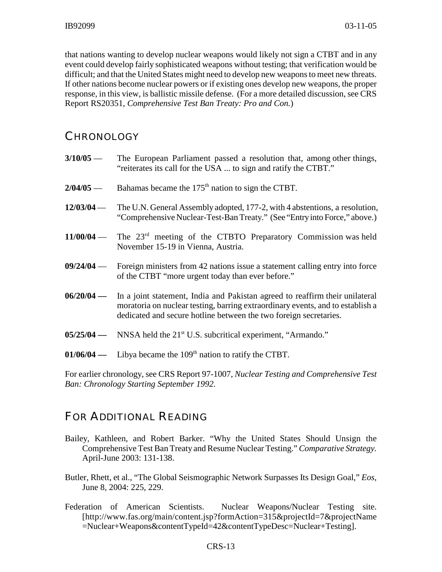that nations wanting to develop nuclear weapons would likely not sign a CTBT and in any event could develop fairly sophisticated weapons without testing; that verification would be difficult; and that the United States might need to develop new weapons to meet new threats. If other nations become nuclear powers or if existing ones develop new weapons, the proper response, in this view, is ballistic missile defense. (For a more detailed discussion, see CRS Report RS20351, *Comprehensive Test Ban Treaty: Pro and Con.*)

#### **CHRONOLOGY**

| $3/10/05$ —  | The European Parliament passed a resolution that, among other things,<br>"reiterates its call for the USA  to sign and ratify the CTBT."                                                                                                       |
|--------------|------------------------------------------------------------------------------------------------------------------------------------------------------------------------------------------------------------------------------------------------|
| $2/04/05$ —  | Bahamas became the 175 <sup>th</sup> nation to sign the CTBT.                                                                                                                                                                                  |
| $12/03/04$ — | The U.N. General Assembly adopted, 177-2, with 4 abstentions, a resolution,<br>"Comprehensive Nuclear-Test-Ban Treaty." (See "Entry into Force," above.)                                                                                       |
|              | $11/00/04$ — The $23rd$ meeting of the CTBTO Preparatory Commission was held<br>November 15-19 in Vienna, Austria.                                                                                                                             |
|              | $09/24/04$ — Foreign ministers from 42 nations issue a statement calling entry into force<br>of the CTBT "more urgent today than ever before."                                                                                                 |
|              | 06/20/04 — In a joint statement, India and Pakistan agreed to reaffirm their unilateral<br>moratoria on nuclear testing, barring extraordinary events, and to establish a<br>dedicated and secure hotline between the two foreign secretaries. |
|              | $05/25/04$ — NNSA held the 21 <sup>st</sup> U.S. subcritical experiment, "Armando."                                                                                                                                                            |
|              | $01/06/04$ — Libya became the 109 <sup>th</sup> nation to ratify the CTBT.                                                                                                                                                                     |

For earlier chronology, see CRS Report 97-1007, *Nuclear Testing and Comprehensive Test Ban: Chronology Starting September 1992.*

## FOR ADDITIONAL READING

- Bailey, Kathleen, and Robert Barker. "Why the United States Should Unsign the Comprehensive Test Ban Treaty and Resume Nuclear Testing." *Comparative Strategy.* April-June 2003: 131-138.
- Butler, Rhett, et al., "The Global Seismographic Network Surpasses Its Design Goal," *Eos,* June 8, 2004: 225, 229.
- Federation of American Scientists. Nuclear Weapons/Nuclear Testing site. [http://www.fas.org/main/content.jsp?formAction=315&projectId=7&projectName =Nuclear+Weapons&contentTypeId=42&contentTypeDesc=Nuclear+Testing].